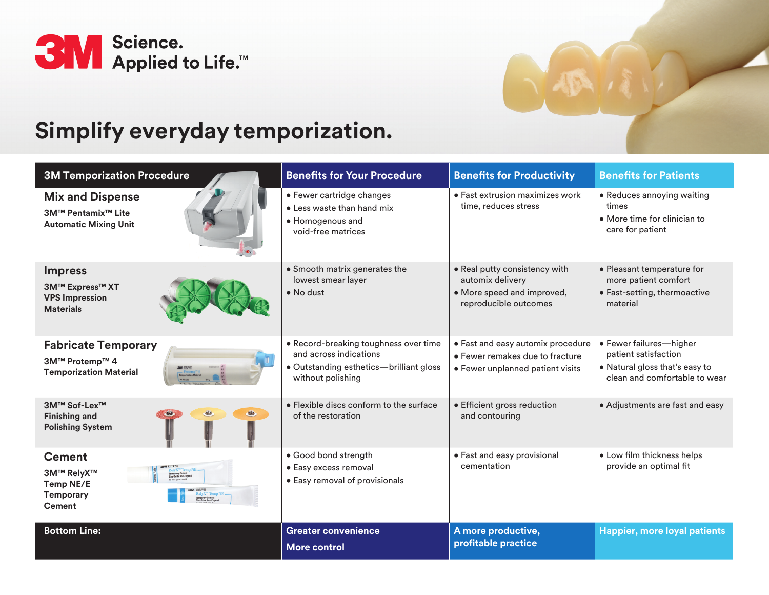



| <b>3M Temporization Procedure</b>                                                         | <b>Benefits for Your Procedure</b>                                                                                              | <b>Benefits for Productivity</b>                                                                         | <b>Benefits for Patients</b>                                                                                       |
|-------------------------------------------------------------------------------------------|---------------------------------------------------------------------------------------------------------------------------------|----------------------------------------------------------------------------------------------------------|--------------------------------------------------------------------------------------------------------------------|
| <b>Mix and Dispense</b><br>3M™ Pentamix <sup>™</sup> Lite<br><b>Automatic Mixing Unit</b> | • Fewer cartridge changes<br>• Less waste than hand mix<br>• Homogenous and<br>void-free matrices                               | $\bullet$ Fast extrusion maximizes work<br>time, reduces stress                                          | • Reduces annoying waiting<br>times<br>• More time for clinician to<br>care for patient                            |
| <b>Impress</b><br><b>3M™ Express™ XT</b><br><b>VPS Impression</b><br><b>Materials</b>     | • Smooth matrix generates the<br>lowest smear layer<br>$\bullet$ No dust                                                        | • Real putty consistency with<br>automix delivery<br>• More speed and improved,<br>reproducible outcomes | • Pleasant temperature for<br>more patient comfort<br>• Fast-setting, thermoactive<br>material                     |
| <b>Fabricate Temporary</b><br>3M™ Protemp™ 4<br><b>Temporization Material</b>             | • Record-breaking toughness over time<br>and across indications<br>• Outstanding esthetics-brilliant gloss<br>without polishing | · Fast and easy automix procedure<br>• Fewer remakes due to fracture<br>• Fewer unplanned patient visits | · Fewer failures-higher<br>patient satisfaction<br>• Natural gloss that's easy to<br>clean and comfortable to wear |
| 3M™ Sof-Lex™<br><b>Finishing and</b><br><b>Polishing System</b>                           | • Elexible discs conform to the surface<br>of the restoration                                                                   | • Efficient gross reduction<br>and contouring                                                            | • Adjustments are fast and easy                                                                                    |
| <b>Cement</b><br><b>3M™ RelyX™</b><br>Temp NE/E<br><b>Temporary</b><br><b>Cement</b>      | · Good bond strength<br>• Easy excess removal<br>• Easy removal of provisionals                                                 | • Fast and easy provisional<br>cementation                                                               | • Low film thickness helps<br>provide an optimal fit                                                               |
| <b>Bottom Line:</b>                                                                       | Greater convenience<br><b>More control</b>                                                                                      | A more productive,<br>profitable practice                                                                | <b>Happier, more loyal patients</b>                                                                                |